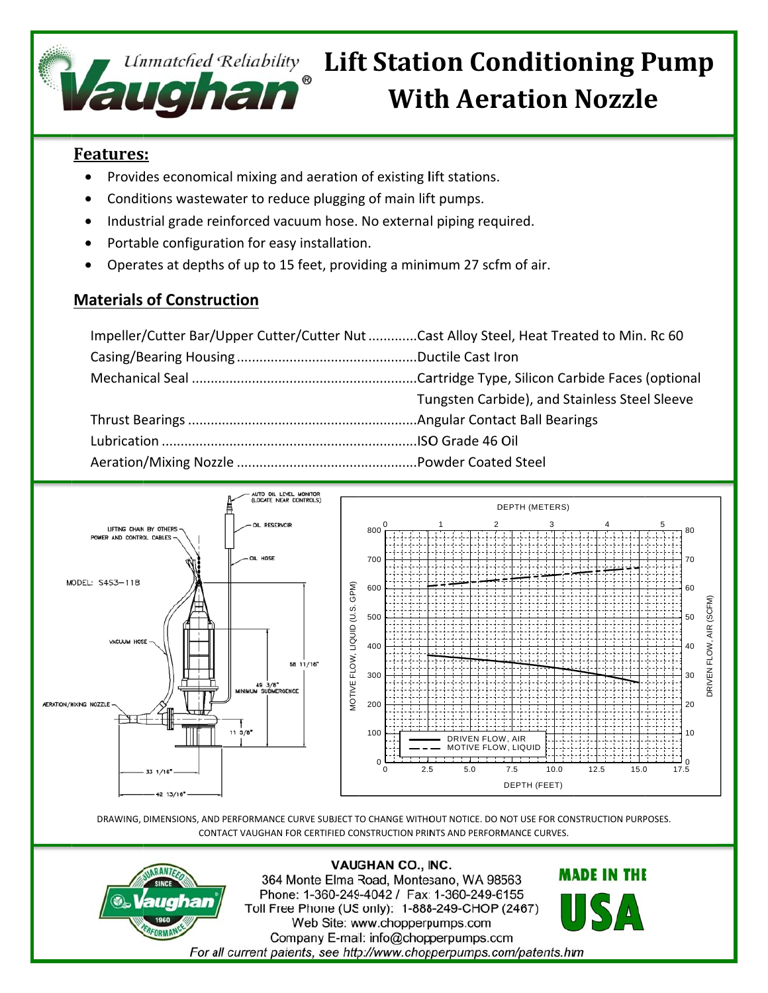

# *Unmatched Reliability Lift Station Conditioning Pump* **With Aeration Nozzle**

## **Features:**

- Provides economical mixing and aeration of existing lift stations.  $\bullet$
- Conditions wastewater to reduce plugging of main lift pumps.
- Industrial grade reinforced vacuum hose. No external piping required.
- Portable configuration for easy installation.
- Operates at depths of up to 15 feet, providing a minimum 27 scfm of air.

### **Materials of Construction**

| Impeller/Cutter Bar/Upper Cutter/Cutter Nut Cast Alloy Steel, Heat Treated to Min. Rc 60 |                                               |
|------------------------------------------------------------------------------------------|-----------------------------------------------|
|                                                                                          |                                               |
|                                                                                          |                                               |
|                                                                                          | Tungsten Carbide), and Stainless Steel Sleeve |
|                                                                                          |                                               |
|                                                                                          |                                               |
|                                                                                          |                                               |



DRAWING, DIMENSIONS, AND PERFORMANCE CURVE SUBJECT TO CHANGE WITHOUT NOTICE. DO NOT USE FOR CONSTRUCTION PURPOSES. CONTACT VAUGHAN FOR CERTIFIED CONSTRUCTION PRINTS AND PERFORMANCE CURVES.



**VAUGHAN CO., INC.** 364 Monte Elma Road, Montesano, WA 98563 Phone: 1-360-249-4042 / Fax: 1-360-249-6155 Toll Free Phone (US only): 1-888-249-CHOP (2467) Web Site: www.chopperpumps.com Company E-mail: info@chopperpumps.com For all current patents, see http://www.chopperpumps.com/patents.htm